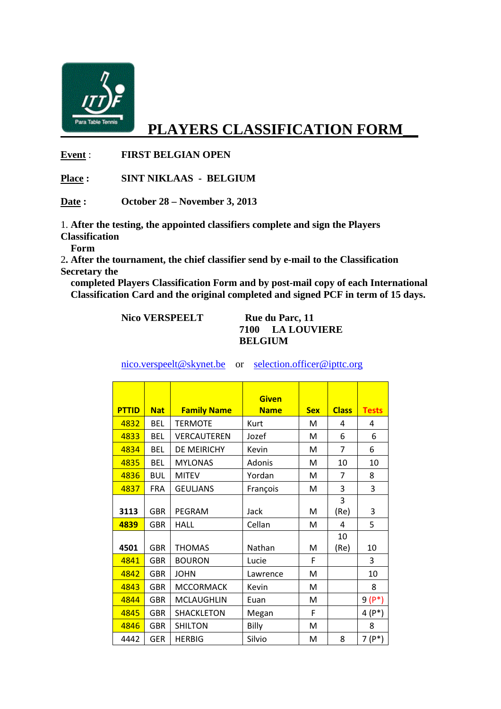

## **PLAYERS CLASSIFICATION FORM\_\_**

**Event** : **FIRST BELGIAN OPEN** 

**Place : SINT NIKLAAS - BELGIUM** 

**Date : October 28 – November 3, 2013** 

1. **After the testing, the appointed classifiers complete and sign the Players Classification** 

 **Form**

2**. After the tournament, the chief classifier send by e-mail to the Classification Secretary the** 

 **completed Players Classification Form and by post-mail copy of each International Classification Card and the original completed and signed PCF in term of 15 days.** 

| <b>Nico VERSPEELT</b> | Rue du Parc, 11  |  |  |
|-----------------------|------------------|--|--|
|                       | 7100 LA LOUVIERE |  |  |
|                       | <b>BELGIUM</b>   |  |  |

| <b>PTTID</b> | <b>Nat</b> | <b>Family Name</b> | <b>Given</b><br><b>Name</b> | <b>Sex</b> | <b>Class</b> | <b>Tests</b> |
|--------------|------------|--------------------|-----------------------------|------------|--------------|--------------|
| 4832         | <b>BEL</b> | <b>TERMOTE</b>     | Kurt                        | м          | 4            | 4            |
|              |            |                    |                             |            |              |              |
| 4833         | <b>BFL</b> | VERCAUTEREN        | Jozef                       | M          | 6            | 6            |
| 4834         | <b>BEL</b> | <b>DE MEIRICHY</b> | Kevin                       | м          | 7            | 6            |
| 4835         | <b>BEL</b> | <b>MYLONAS</b>     | Adonis                      | M          | 10           | 10           |
| 4836         | <b>BUL</b> | <b>MITEV</b>       | Yordan                      | M          | 7            | 8            |
| 4837         | <b>FRA</b> | <b>GEULJANS</b>    | François                    | M          | 3            | 3            |
|              |            |                    |                             |            | 3            |              |
| 3113         | <b>GBR</b> | PEGRAM             | Jack                        | M          | (Re)         | 3            |
| 4839         | <b>GBR</b> | <b>HALL</b>        | Cellan                      | M          | 4            | 5            |
|              |            |                    |                             |            | 10           |              |
| 4501         | <b>GBR</b> | <b>THOMAS</b>      | Nathan                      | М          | (Re)         | 10           |
| 4841         | <b>GBR</b> | <b>BOURON</b>      | Lucie                       | F          |              | 3            |
| 4842         | <b>GBR</b> | <b>JOHN</b>        | Lawrence                    | M          |              | 10           |
| 4843         | <b>GBR</b> | <b>MCCORMACK</b>   | Kevin                       | M          |              | 8            |
| 4844         | <b>GBR</b> | <b>MCLAUGHLIN</b>  | Euan                        | M          |              | $9(P^*)$     |
| 4845         | <b>GBR</b> | <b>SHACKLETON</b>  | Megan                       | F          |              | $4(P^*)$     |
| 4846         | <b>GBR</b> | <b>SHILTON</b>     | Billy                       | м          |              | 8            |
| 4442         | <b>GER</b> | <b>HERBIG</b>      | Silvio                      | M          | 8            | $7(P^*)$     |

nico.verspeelt@skynet.be or selection.officer@ipttc.org